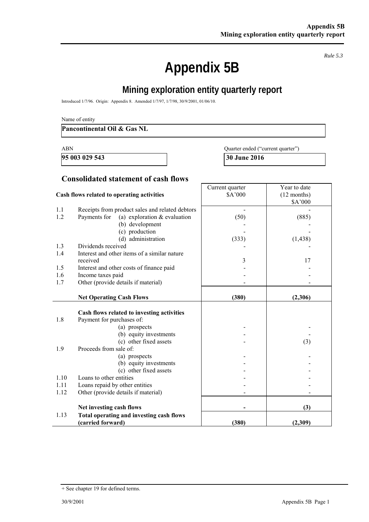*Rule 5.3* 

# **Appendix 5B**

## **Mining exploration entity quarterly report**

Introduced 1/7/96. Origin: Appendix 8. Amended 1/7/97, 1/7/98, 30/9/2001, 01/06/10.

#### **Pancontinental Oil & Gas NL**

**95 003 029 543** 30 June 2016

ABN Quarter ended ("current quarter")

## **Consolidated statement of cash flows**

| Cash flows related to operating activities |                                                 | Current quarter<br>\$A'000 | Year to date<br>$(12$ months) |
|--------------------------------------------|-------------------------------------------------|----------------------------|-------------------------------|
|                                            |                                                 |                            | \$A'000                       |
| 1.1                                        | Receipts from product sales and related debtors |                            |                               |
| 1.2                                        | Payments for<br>(a) exploration $&$ evaluation  | (50)                       | (885)                         |
|                                            | (b) development                                 |                            |                               |
|                                            | (c) production                                  |                            |                               |
|                                            | (d) administration                              | (333)                      | (1, 438)                      |
| 1.3                                        | Dividends received                              |                            |                               |
| 1.4                                        | Interest and other items of a similar nature    |                            |                               |
|                                            | received                                        | 3                          | 17                            |
| 1.5                                        | Interest and other costs of finance paid        |                            |                               |
| 1.6                                        | Income taxes paid                               |                            |                               |
| 1.7                                        | Other (provide details if material)             |                            |                               |
|                                            |                                                 |                            |                               |
|                                            | <b>Net Operating Cash Flows</b>                 | (380)                      | (2,306)                       |
|                                            |                                                 |                            |                               |
|                                            | Cash flows related to investing activities      |                            |                               |
| 1.8                                        | Payment for purchases of:                       |                            |                               |
|                                            | (a) prospects                                   |                            |                               |
|                                            | (b) equity investments                          |                            |                               |
|                                            | (c) other fixed assets                          |                            | (3)                           |
| 1.9                                        | Proceeds from sale of:                          |                            |                               |
|                                            | (a) prospects<br>(b) equity investments         |                            |                               |
|                                            | (c) other fixed assets                          |                            |                               |
| 1.10                                       | Loans to other entities                         |                            |                               |
| 1.11                                       | Loans repaid by other entities                  |                            |                               |
| 1.12                                       | Other (provide details if material)             |                            |                               |
|                                            |                                                 |                            |                               |
|                                            | Net investing cash flows                        |                            | (3)                           |
| 1.13                                       | Total operating and investing cash flows        |                            |                               |
|                                            | (carried forward)                               | (380)                      | (2,309)                       |

<sup>+</sup> See chapter 19 for defined terms.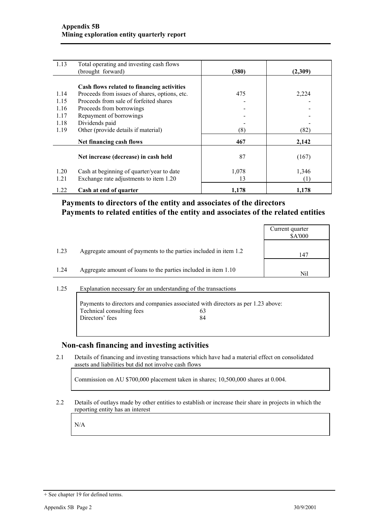| 1.13 | Total operating and investing cash flows      |       |         |
|------|-----------------------------------------------|-------|---------|
|      | (brought forward)                             | (380) | (2,309) |
|      |                                               |       |         |
|      | Cash flows related to financing activities    |       |         |
| 1.14 | Proceeds from issues of shares, options, etc. | 475   | 2,224   |
| 1.15 | Proceeds from sale of forfeited shares        |       |         |
| 1.16 | Proceeds from borrowings                      |       |         |
| 1.17 | Repayment of borrowings                       |       |         |
| 1.18 | Dividends paid                                |       |         |
| 1.19 | Other (provide details if material)           | (8)   | (82)    |
|      | Net financing cash flows                      | 467   | 2,142   |
|      |                                               |       |         |
|      | Net increase (decrease) in cash held          | 87    | (167)   |
| 1.20 | Cash at beginning of quarter/year to date     | 1,078 | 1,346   |
| 1.21 | Exchange rate adjustments to item 1.20        | 13    | (1)     |
|      |                                               |       |         |
| 1.22 | Cash at end of quarter                        | 1,178 | 1,178   |

## **Payments to directors of the entity and associates of the directors Payments to related entities of the entity and associates of the related entities**

| 1.23<br>Aggregate amount of payments to the parties included in item 1.2<br>147<br>1.24<br>Aggregate amount of loans to the parties included in item 1.10 |  | Current quarter<br>\$A'000 |
|-----------------------------------------------------------------------------------------------------------------------------------------------------------|--|----------------------------|
|                                                                                                                                                           |  |                            |
|                                                                                                                                                           |  | Nil                        |

#### 1.25 Explanation necessary for an understanding of the transactions

|                           | Payments to directors and companies associated with directors as per 1.23 above: |  |
|---------------------------|----------------------------------------------------------------------------------|--|
| Technical consulting fees | 63                                                                               |  |
| Directors' fees           | 84                                                                               |  |
|                           |                                                                                  |  |

### **Non-cash financing and investing activities**

2.1 Details of financing and investing transactions which have had a material effect on consolidated assets and liabilities but did not involve cash flows

Commission on AU \$700,000 placement taken in shares; 10,500,000 shares at 0.004.

2.2 Details of outlays made by other entities to establish or increase their share in projects in which the reporting entity has an interest

N/A

<sup>+</sup> See chapter 19 for defined terms.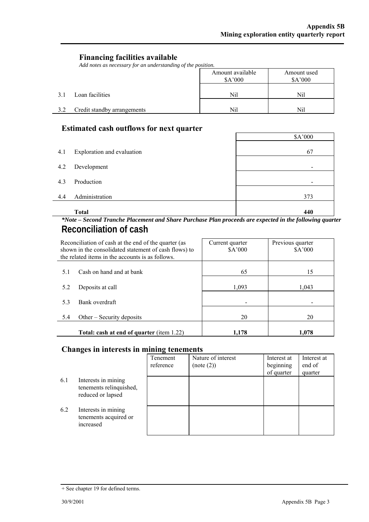$\overline{\phantom{0}}$ 

## **Financing facilities available**

*Add notes as necessary for an understanding of the position.* 

|     |                             | Amount available<br>\$A'000 | Amount used<br>\$A'000 |
|-----|-----------------------------|-----------------------------|------------------------|
| 3.1 | Loan facilities             | Nil                         | Nil                    |
| 3.2 | Credit standby arrangements | Nil                         | Nil                    |

## **Estimated cash outflows for next quarter**

|     | <b>Total</b>               | 440                      |
|-----|----------------------------|--------------------------|
| 4.4 | Administration             | 373                      |
| 4.3 | Production                 | $\blacksquare$           |
| 4.2 | Development                | $\overline{\phantom{a}}$ |
| 4.1 | Exploration and evaluation | 67                       |
|     |                            | \$A'000                  |

### *\*Note – Second Tranche Placement and Share Purchase Plan proceeds are expected in the following quarter*  **Reconciliation of cash**

| Reconciliation of cash at the end of the quarter (as<br>shown in the consolidated statement of cash flows) to<br>the related items in the accounts is as follows. |                                           | Current quarter<br>\$A'000 | Previous quarter<br>\$A'000 |
|-------------------------------------------------------------------------------------------------------------------------------------------------------------------|-------------------------------------------|----------------------------|-----------------------------|
| 5.1                                                                                                                                                               | Cash on hand and at bank                  | 65                         | 15                          |
| 5.2                                                                                                                                                               | Deposits at call                          | 1.093                      | 1,043                       |
| 5.3                                                                                                                                                               | Bank overdraft                            |                            |                             |
| 5.4                                                                                                                                                               | Other $-$ Security deposits               | 20                         | 20                          |
|                                                                                                                                                                   | Total: cash at end of quarter (item 1.22) | 1.178                      | 1.078                       |

## **Changes in interests in mining tenements**

|     |                                                                     | Tenement<br>reference | Nature of interest<br>(note (2)) | Interest at<br>beginning<br>of quarter | Interest at<br>end of<br>quarter |
|-----|---------------------------------------------------------------------|-----------------------|----------------------------------|----------------------------------------|----------------------------------|
| 6.1 | Interests in mining<br>tenements relinquished,<br>reduced or lapsed |                       |                                  |                                        |                                  |
| 6.2 | Interests in mining<br>tenements acquired or<br>increased           |                       |                                  |                                        |                                  |

<sup>+</sup> See chapter 19 for defined terms.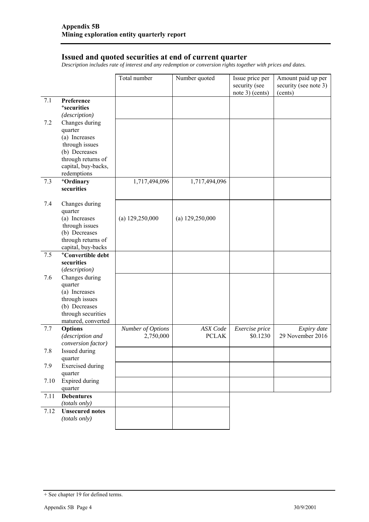#### **Issued and quoted securities at end of current quarter**

*Description includes rate of interest and any redemption or conversion rights together with prices and dates.* 

|         |                                          | Total number      | Number quoted     | Issue price per<br>security (see<br>note 3) (cents) | Amount paid up per<br>security (see note 3)<br>(cents) |
|---------|------------------------------------------|-------------------|-------------------|-----------------------------------------------------|--------------------------------------------------------|
| 7.1     | Preference                               |                   |                   |                                                     |                                                        |
|         | <sup>+</sup> securities                  |                   |                   |                                                     |                                                        |
|         | (description)                            |                   |                   |                                                     |                                                        |
| 7.2     | Changes during                           |                   |                   |                                                     |                                                        |
|         | quarter<br>(a) Increases                 |                   |                   |                                                     |                                                        |
|         | through issues                           |                   |                   |                                                     |                                                        |
|         | (b) Decreases                            |                   |                   |                                                     |                                                        |
|         | through returns of                       |                   |                   |                                                     |                                                        |
|         | capital, buy-backs,                      |                   |                   |                                                     |                                                        |
|         | redemptions                              |                   |                   |                                                     |                                                        |
| 7.3     | +Ordinary                                | 1,717,494,096     | 1,717,494,096     |                                                     |                                                        |
|         | securities                               |                   |                   |                                                     |                                                        |
| 7.4     | Changes during                           |                   |                   |                                                     |                                                        |
|         | quarter                                  |                   |                   |                                                     |                                                        |
|         | (a) Increases                            | (a) $129,250,000$ | (a) $129,250,000$ |                                                     |                                                        |
|         | through issues                           |                   |                   |                                                     |                                                        |
|         | (b) Decreases                            |                   |                   |                                                     |                                                        |
|         | through returns of<br>capital, buy-backs |                   |                   |                                                     |                                                        |
| 7.5     | <sup>+</sup> Convertible debt            |                   |                   |                                                     |                                                        |
|         | securities                               |                   |                   |                                                     |                                                        |
|         | (description)                            |                   |                   |                                                     |                                                        |
| 7.6     | Changes during                           |                   |                   |                                                     |                                                        |
|         | quarter                                  |                   |                   |                                                     |                                                        |
|         | (a) Increases                            |                   |                   |                                                     |                                                        |
|         | through issues                           |                   |                   |                                                     |                                                        |
|         | (b) Decreases<br>through securities      |                   |                   |                                                     |                                                        |
|         | matured, converted                       |                   |                   |                                                     |                                                        |
| 7.7     | Options                                  | Number of Options | <b>ASX</b> Code   | Exercise price                                      | Expiry date                                            |
|         | (description and                         | 2,750,000         | <b>PCLAK</b>      | \$0.1230                                            | 29 November 2016                                       |
|         | conversion factor)                       |                   |                   |                                                     |                                                        |
| $7.8\,$ | Issued during                            |                   |                   |                                                     |                                                        |
|         | quarter                                  |                   |                   |                                                     |                                                        |
| 7.9     | <b>Exercised</b> during                  |                   |                   |                                                     |                                                        |
|         | quarter                                  |                   |                   |                                                     |                                                        |
| 7.10    | <b>Expired during</b><br>quarter         |                   |                   |                                                     |                                                        |
| 7.11    | <b>Debentures</b>                        |                   |                   |                                                     |                                                        |
|         | (totals only)                            |                   |                   |                                                     |                                                        |
| 7.12    | <b>Unsecured</b> notes                   |                   |                   |                                                     |                                                        |
|         | (totals only)                            |                   |                   |                                                     |                                                        |
|         |                                          |                   |                   |                                                     |                                                        |

<sup>+</sup> See chapter 19 for defined terms.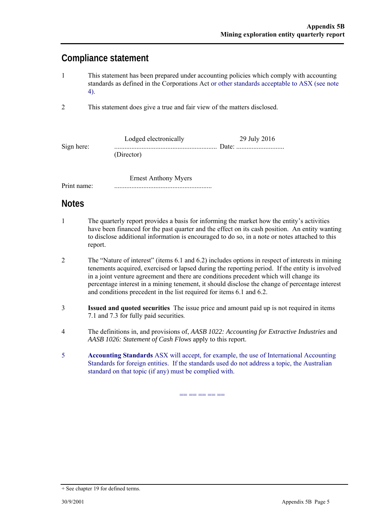## **Compliance statement**

- 1 This statement has been prepared under accounting policies which comply with accounting standards as defined in the Corporations Act or other standards acceptable to ASX (see note 4).
- 2 This statement does give a true and fair view of the matters disclosed.

|            | Lodged electronically | 29 July 2016 |
|------------|-----------------------|--------------|
| Sign here: |                       |              |
|            | (Director)            |              |

 Ernest Anthony Myers Print name: .........................................................

## **Notes**

- 1 The quarterly report provides a basis for informing the market how the entity's activities have been financed for the past quarter and the effect on its cash position. An entity wanting to disclose additional information is encouraged to do so, in a note or notes attached to this report.
- 2 The "Nature of interest" (items 6.1 and 6.2) includes options in respect of interests in mining tenements acquired, exercised or lapsed during the reporting period. If the entity is involved in a joint venture agreement and there are conditions precedent which will change its percentage interest in a mining tenement, it should disclose the change of percentage interest and conditions precedent in the list required for items 6.1 and 6.2.
- 3 **Issued and quoted securities** The issue price and amount paid up is not required in items 7.1 and 7.3 for fully paid securities*.*
- 4 The definitions in, and provisions of, *AASB 1022: Accounting for Extractive Industries* and *AASB 1026: Statement of Cash Flows* apply to this report.
- 5 **Accounting Standards** ASX will accept, for example, the use of International Accounting Standards for foreign entities. If the standards used do not address a topic, the Australian standard on that topic (if any) must be complied with.

== == == == ==

<sup>+</sup> See chapter 19 for defined terms.